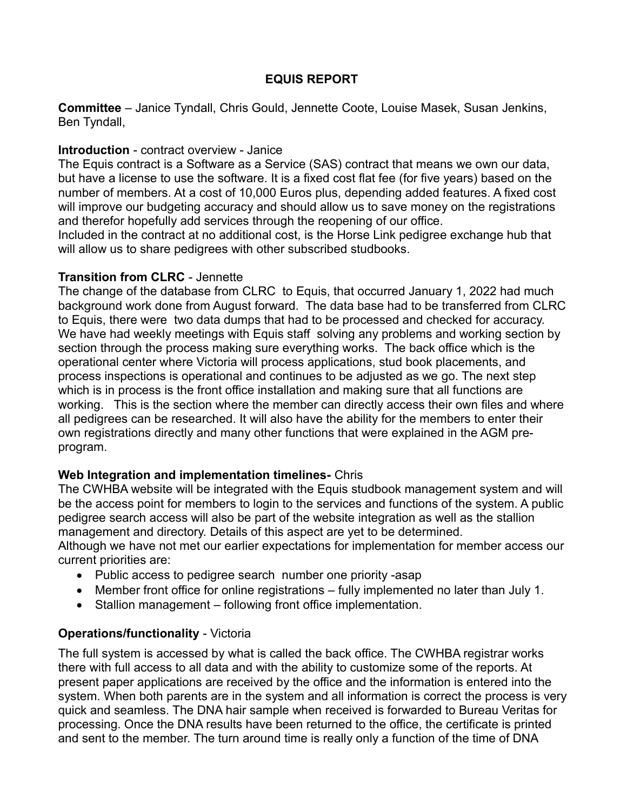# **EQUIS REPORT**

**Committee** – Janice Tyndall, Chris Gould, Jennette Coote, Louise Masek, Susan Jenkins, Ben Tyndall,

### **Introduction** - contract overview - Janice

The Equis contract is a Software as a Service (SAS) contract that means we own our data, but have a license to use the software. It is a fixed cost flat fee (for five years) based on the number of members. At a cost of 10,000 Euros plus, depending added features. A fixed cost will improve our budgeting accuracy and should allow us to save money on the registrations and therefor hopefully add services through the reopening of our office.

Included in the contract at no additional cost, is the Horse Link pedigree exchange hub that will allow us to share pedigrees with other subscribed studbooks.

### **Transition from CLRC** - Jennette

The change of the database from CLRC to Equis, that occurred January 1, 2022 had much background work done from August forward. The data base had to be transferred from CLRC to Equis, there were two data dumps that had to be processed and checked for accuracy. We have had weekly meetings with Equis staff solving any problems and working section by section through the process making sure everything works. The back office which is the operational center where Victoria will process applications, stud book placements, and process inspections is operational and continues to be adjusted as we go. The next step which is in process is the front office installation and making sure that all functions are working. This is the section where the member can directly access their own files and where all pedigrees can be researched. It will also have the ability for the members to enter their own registrations directly and many other functions that were explained in the AGM preprogram.

# **Web Integration and implementation timelines-** Chris

The CWHBA website will be integrated with the Equis studbook management system and will be the access point for members to login to the services and functions of the system. A public pedigree search access will also be part of the website integration as well as the stallion management and directory. Details of this aspect are yet to be determined.

Although we have not met our earlier expectations for implementation for member access our current priorities are:

- Public access to pedigree search number one priority -asap
- Member front office for online registrations fully implemented no later than July 1.
- Stallion management following front office implementation.

# **Operations/functionality** - Victoria

The full system is accessed by what is called the back office. The CWHBA registrar works there with full access to all data and with the ability to customize some of the reports. At present paper applications are received by the office and the information is entered into the system. When both parents are in the system and all information is correct the process is very quick and seamless. The DNA hair sample when received is forwarded to Bureau Veritas for processing. Once the DNA results have been returned to the office, the certificate is printed and sent to the member. The turn around time is really only a function of the time of DNA